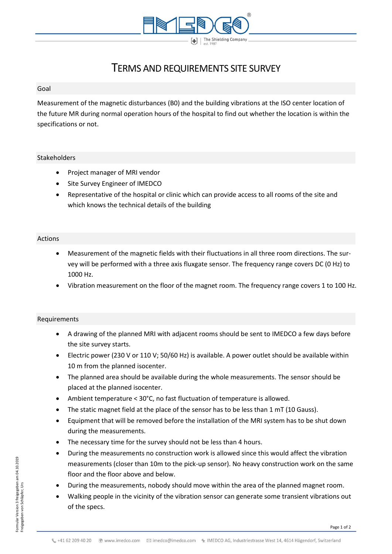

# TERMS AND REQUIREMENTS SITE SURVEY

#### Goal

Measurement of the magnetic disturbances (B0) and the building vibrations at the ISO center location of the future MR during normal operation hours of the hospital to find out whether the location is within the specifications or not.

### Stakeholders

- Project manager of MRI vendor
- Site Survey Engineer of IMEDCO
- Representative of the hospital or clinic which can provide access to all rooms of the site and which knows the technical details of the building

## Actions

- Measurement of the magnetic fields with their fluctuations in all three room directions. The survey will be performed with a three axis fluxgate sensor. The frequency range covers DC (0 Hz) to 1000 Hz.
- Vibration measurement on the floor of the magnet room. The frequency range covers 1 to 100 Hz.

#### Requirements

- A drawing of the planned MRI with adjacent rooms should be sent to IMEDCO a few days before the site survey starts.
- Electric power (230 V or 110 V; 50/60 Hz) is available. A power outlet should be available within 10 m from the planned isocenter.
- The planned area should be available during the whole measurements. The sensor should be placed at the planned isocenter.
- Ambient temperature < 30°C, no fast fluctuation of temperature is allowed.
- The static magnet field at the place of the sensor has to be less than  $1 \text{ mT}$  (10 Gauss).
- Equipment that will be removed before the installation of the MRI system has to be shut down during the measurements.
- The necessary time for the survey should not be less than 4 hours.
- During the measurements no construction work is allowed since this would affect the vibration measurements (closer than 10m to the pick-up sensor). No heavy construction work on the same floor and the floor above and below.
- During the measurements, nobody should move within the area of the planned magnet room.
- Walking people in the vicinity of the vibration sensor can generate some transient vibrations out of the specs.